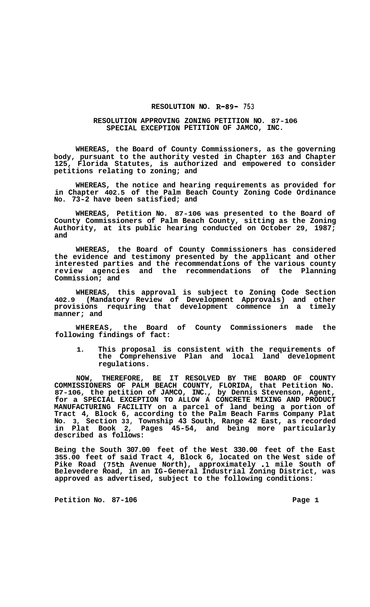## **RESOLUTION NO. R-89- 753**

## **RESOLUTION APPROVING ZONING PETITION NO. 87-106 SPECIAL EXCEPTION PETITION OF JAMCO, INC.**

**WHEREAS, the Board of County Commissioners, as the governing body, pursuant to the authority vested in Chapter 163 and Chapter**  Florida Statutes, is authorized and empowered to consider **petitions relating to zoning; and** 

**WHEREAS, the notice and hearing requirements as provided for in Chapter 402.5 of the Palm Beach County Zoning Code Ordinance No. 73-2 have been satisfied; and** 

**WHEREAS, Petition No. 87-106 was presented to the Board of County Commissioners of Palm Beach County, sitting as the Zoning Authority, at its public hearing conducted on October 29, 1987; and** 

**WHEREAS, the Board of County Commissioners has considered the evidence and testimony presented by the applicant and other interested parties and the recommendations of the various county review agencies and the recommendations of the Planning Commission; and** 

**WHEREAS, this approval is subject to Zoning Code Section 402.9 (Mandatory Review of Development Approvals) and other provisions requiring that development commence in a timely manner; and** 

**WHEREAS, the Board of County Commissioners made the following findings of fact:** 

**1. This proposal is consistent with the requirements of the Comprehensive Plan and local land development regulations.** 

**NOW, THEREFORE, BE IT RESOLVED BY THE BOARD OF COUNTY COMMISSIONERS OF PALM BEACH COUNTY, FLORIDA, that Petition No. 87-106, the petition of JAMCO, INC., by Dennis Stevenson, Agent, for a SPECIAL EXCEPTION TO ALLOW A CONCRETE MIXING AND PRODUCT MANUFACTURING FACILITY on a parcel of land being a portion of Tract 4, Block 6, according to the Palm Beach Farms Company Plat No. 3, Section 33, Township 43 South, Range 42 East, as recorded in Plat Book 2, Pages 45-54, and being more particularly described as follows:** 

**Being the South 307.00 feet of the West 330.00 feet of the East 355.00 feet of said Tract 4, Block 6, located on the West side of Pike Road (75th Avenue North), approximately .1 mile South of Belevedere Road, in an IG-General Industrial Zoning District, was approved as advertised, subject to the following conditions:** 

Petition No. 87-106 **Page 1 Page 1**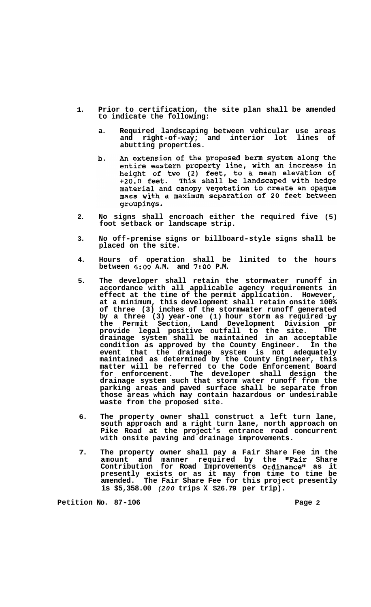- **1. Prior to certification, the site plan shall be amended to indicate the following:** 
	- **a. Required landscaping between vehicular use areas**  and right-of-way; and interior lot **abutting properties.**
	- An extension of the proposed berm system along the **.** entire eastern property line, with an increase in<br>height of two (2) feet, to a mean elevation of<br>+20.0 feet. This shall be landscaped with hedge material and canopy vegetation to create an opaque mass with a maximum separation of 20 feet between groupings.
- **2. No signs shall encroach either the required five (5) foot setback or landscape strip.**
- **3. No off-premise signs or billboard-style signs shall be placed on the site.**
- **4. Hours of operation shall be limited to the hours between 6:OO A.M. and** *7:OO* **P.M.**
- **5. The developer shall retain the stormwater runoff in accordance with all applicable agency requirements in effect at the time of the permit application. However, at a minimum, this development shall retain onsite 100% of three (3) inches of the stormwater runoff generated**  by a three (3) year-one (1) hour storm as required by **the Permit Section, Land Development Division or provide legal positive outfall to the site. The drainage system shall be maintained in an acceptable condition as approved by the County Engineer. In the event that the drainage system is not adequately maintained as determined by the County Engineer, this matter will be referred to the Code Enforcement Board for enforcement. The developer shall design the drainage system such that storm water runoff from the parking areas and paved surface shall be separate from those areas which may contain hazardous or undesirable waste from the proposed site.**
- **6. The property owner shall construct a left turn lane, south approach and a right turn lane, north approach on Pike Road at the project's entrance road concurrent with onsite paving and drainage improvements.**
- **7. The property owner shall pay a Fair Share Fee in the amount and manner required by the "Fair Share Contribution for Road Improvements Ordinance" as it presently exists or as it may from time to time be amended. The Fair Share Fee for this project presently is \$5,358.00** *(200* **trips X \$26.79 per trip).**

**Petition No. 87-106 Page 2 Page 2**